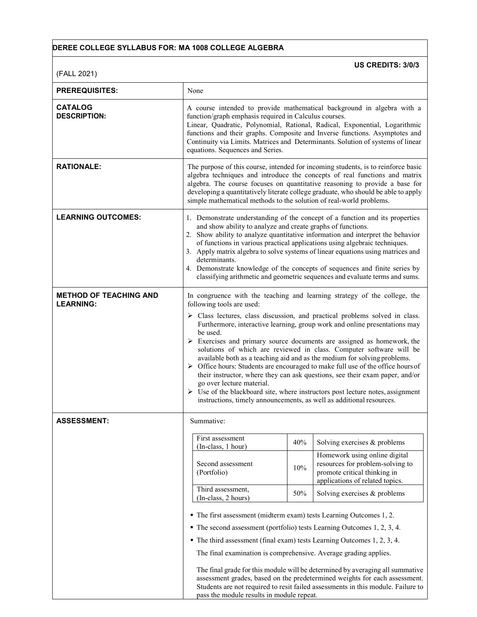## **DEREE COLLEGE SYLLABUS FOR: MA 1008 COLLEGE ALGEBRA**

(FALL 2021)

**US CREDITS: 3/0/3** 

| <b>PREREQUISITES:</b>                             | None                                                                                                                                                                                                                                                                                                                                                                                                                                                                                                                                                                                                                                                                                                                                                                                                                                                                                                                |                   |                                                                                                                                                                                                                                                                                                                                                                     |
|---------------------------------------------------|---------------------------------------------------------------------------------------------------------------------------------------------------------------------------------------------------------------------------------------------------------------------------------------------------------------------------------------------------------------------------------------------------------------------------------------------------------------------------------------------------------------------------------------------------------------------------------------------------------------------------------------------------------------------------------------------------------------------------------------------------------------------------------------------------------------------------------------------------------------------------------------------------------------------|-------------------|---------------------------------------------------------------------------------------------------------------------------------------------------------------------------------------------------------------------------------------------------------------------------------------------------------------------------------------------------------------------|
| <b>CATALOG</b><br><b>DESCRIPTION:</b>             | A course intended to provide mathematical background in algebra with a<br>function/graph emphasis required in Calculus courses.<br>Linear, Quadratic, Polynomial, Rational, Radical, Exponential, Logarithmic<br>functions and their graphs. Composite and Inverse functions. Asymptotes and<br>Continuity via Limits. Matrices and Determinants. Solution of systems of linear<br>equations. Sequences and Series.                                                                                                                                                                                                                                                                                                                                                                                                                                                                                                 |                   |                                                                                                                                                                                                                                                                                                                                                                     |
| <b>RATIONALE:</b>                                 | The purpose of this course, intended for incoming students, is to reinforce basic<br>algebra techniques and introduce the concepts of real functions and matrix<br>algebra. The course focuses on quantitative reasoning to provide a base for<br>developing a quantitatively literate college graduate, who should be able to apply<br>simple mathematical methods to the solution of real-world problems.                                                                                                                                                                                                                                                                                                                                                                                                                                                                                                         |                   |                                                                                                                                                                                                                                                                                                                                                                     |
| <b>LEARNING OUTCOMES:</b>                         | 1. Demonstrate understanding of the concept of a function and its properties<br>and show ability to analyze and create graphs of functions.<br>2. Show ability to analyze quantitative information and interpret the behavior<br>of functions in various practical applications using algebraic techniques.<br>3. Apply matrix algebra to solve systems of linear equations using matrices and<br>determinants.<br>4. Demonstrate knowledge of the concepts of sequences and finite series by<br>classifying arithmetic and geometric sequences and evaluate terms and sums.                                                                                                                                                                                                                                                                                                                                        |                   |                                                                                                                                                                                                                                                                                                                                                                     |
| <b>METHOD OF TEACHING AND</b><br><b>LEARNING:</b> | In congruence with the teaching and learning strategy of the college, the<br>following tools are used:<br>$\triangleright$ Class lectures, class discussion, and practical problems solved in class.<br>Furthermore, interactive learning, group work and online presentations may<br>be used.<br>$\triangleright$ Exercises and primary source documents are assigned as homework, the<br>solutions of which are reviewed in class. Computer software will be<br>available both as a teaching aid and as the medium for solving problems.<br>> Office hours: Students are encouraged to make full use of the office hours of<br>their instructor, where they can ask questions, see their exam paper, and/or<br>go over lecture material.<br>$\triangleright$ Use of the blackboard site, where instructors post lecture notes, assignment<br>instructions, timely announcements, as well as additional resources. |                   |                                                                                                                                                                                                                                                                                                                                                                     |
| <b>ASSESSMENT:</b>                                | Summative:<br>First assessment<br>(In-class, 1 hour)<br>Second assessment<br>(Portfolio)<br>Third assessment,<br>(In-class, 2 hours)<br>• The first assessment (midterm exam) tests Learning Outcomes 1, 2.<br>$\blacksquare$ The second assessment (portfolio) tests Learning Outcomes 1, 2, 3, 4.<br>$\blacksquare$ The third assessment (final exam) tests Learning Outcomes 1, 2, 3, 4.<br>The final examination is comprehensive. Average grading applies.                                                                                                                                                                                                                                                                                                                                                                                                                                                     | 40%<br>10%<br>50% | Solving exercises & problems<br>Homework using online digital<br>resources for problem-solving to<br>promote critical thinking in<br>applications of related topics.<br>Solving exercises & problems<br>The final grade for this module will be determined by averaging all summative<br>assessment grades, based on the predetermined weights for each assessment. |
|                                                   | Students are not required to resit failed assessments in this module. Failure to<br>pass the module results in module repeat.                                                                                                                                                                                                                                                                                                                                                                                                                                                                                                                                                                                                                                                                                                                                                                                       |                   |                                                                                                                                                                                                                                                                                                                                                                     |